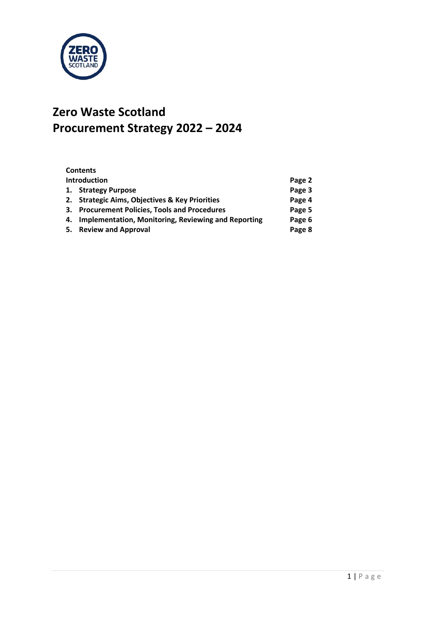

# **Zero Waste Scotland Procurement Strategy 2022 – 2024**

| <b>Contents</b>                                        |        |
|--------------------------------------------------------|--------|
| <b>Introduction</b>                                    | Page 2 |
| 1. Strategy Purpose                                    | Page 3 |
| 2. Strategic Aims, Objectives & Key Priorities         | Page 4 |
| 3. Procurement Policies, Tools and Procedures          | Page 5 |
| 4. Implementation, Monitoring, Reviewing and Reporting | Page 6 |
| 5. Review and Approval                                 | Page 8 |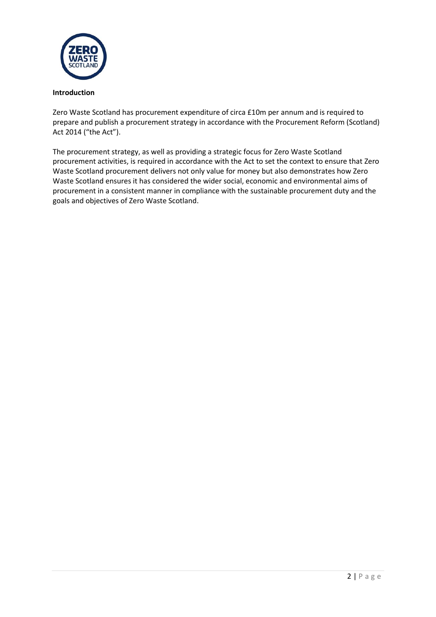

# **Introduction**

Zero Waste Scotland has procurement expenditure of circa £10m per annum and is required to prepare and publish a procurement strategy in accordance with the Procurement Reform (Scotland) Act 2014 ("the Act").

The procurement strategy, as well as providing a strategic focus for Zero Waste Scotland procurement activities, is required in accordance with the Act to set the context to ensure that Zero Waste Scotland procurement delivers not only value for money but also demonstrates how Zero Waste Scotland ensures it has considered the wider social, economic and environmental aims of procurement in a consistent manner in compliance with the sustainable procurement duty and the goals and objectives of Zero Waste Scotland.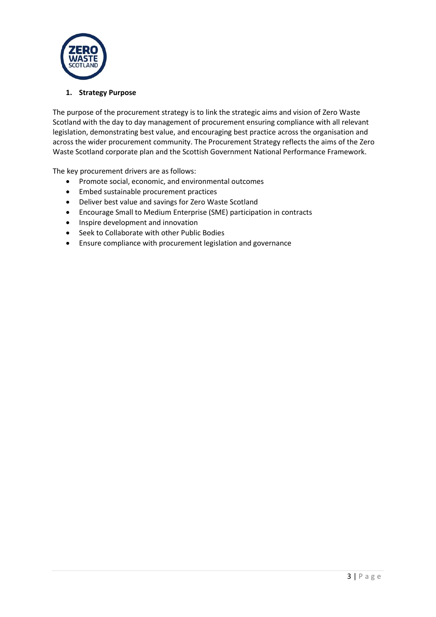

#### **1. Strategy Purpose**

The purpose of the procurement strategy is to link the strategic aims and vision of Zero Waste Scotland with the day to day management of procurement ensuring compliance with all relevant legislation, demonstrating best value, and encouraging best practice across the organisation and across the wider procurement community. The Procurement Strategy reflects the aims of the Zero Waste Scotland corporate plan and the Scottish Government National Performance Framework.

The key procurement drivers are as follows:

- Promote social, economic, and environmental outcomes
- Embed sustainable procurement practices
- Deliver best value and savings for Zero Waste Scotland
- Encourage Small to Medium Enterprise (SME) participation in contracts
- Inspire development and innovation
- Seek to Collaborate with other Public Bodies
- Ensure compliance with procurement legislation and governance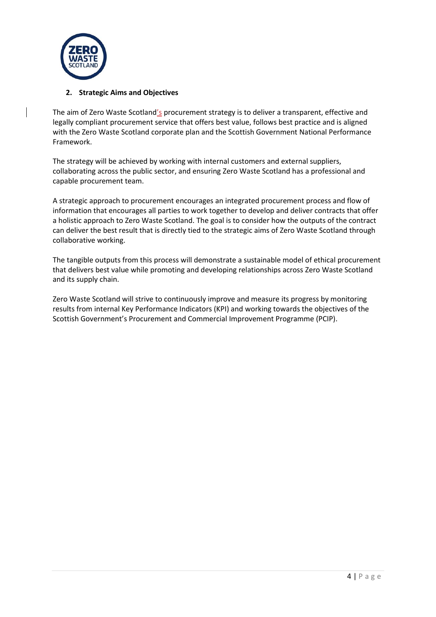

# **2. Strategic Aims and Objectives**

The aim of Zero Waste Scotland's procurement strategy is to deliver a transparent, effective and legally compliant procurement service that offers best value, follows best practice and is aligned with the Zero Waste Scotland corporate plan and the Scottish Government National Performance Framework.

The strategy will be achieved by working with internal customers and external suppliers, collaborating across the public sector, and ensuring Zero Waste Scotland has a professional and capable procurement team.

A strategic approach to procurement encourages an integrated procurement process and flow of information that encourages all parties to work together to develop and deliver contracts that offer a holistic approach to Zero Waste Scotland. The goal is to consider how the outputs of the contract can deliver the best result that is directly tied to the strategic aims of Zero Waste Scotland through collaborative working.

The tangible outputs from this process will demonstrate a sustainable model of ethical procurement that delivers best value while promoting and developing relationships across Zero Waste Scotland and its supply chain.

Zero Waste Scotland will strive to continuously improve and measure its progress by monitoring results from internal Key Performance Indicators (KPI) and working towards the objectives of the Scottish Government's Procurement and Commercial Improvement Programme (PCIP).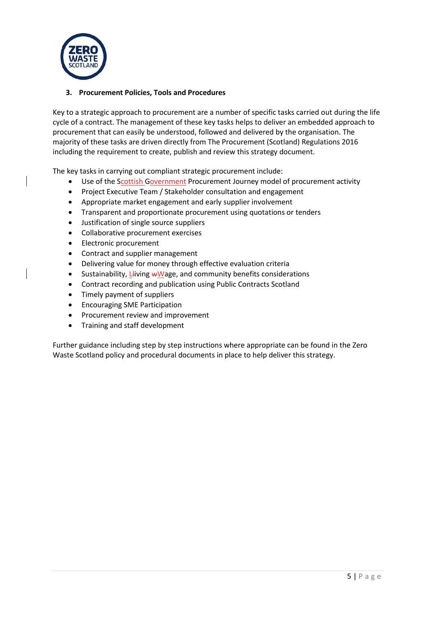

# **3. Procurement Policies, Tools and Procedures**

Key to a strategic approach to procurement are a number of specific tasks carried out during the life cycle of a contract. The management of these key tasks helps to deliver an embedded approach to procurement that can easily be understood, followed and delivered by the organisation. The majority of these tasks are driven directly from The Procurement (Scotland) Regulations 2016 including the requirement to create, publish and review this strategy document.

The key tasks in carrying out compliant strategic procurement include:

- Use of the Scottish Government Procurement Journey model of procurement activity
- Project Executive Team / Stakeholder consultation and engagement
- Appropriate market engagement and early supplier involvement
- Transparent and proportionate procurement using quotations or tenders
- Justification of single source suppliers
- Collaborative procurement exercises
- Electronic procurement
- Contract and supplier management
- Delivering value for money through effective evaluation criteria
- Sustainability,  $L$ living  $wW$ age, and community benefits considerations
- Contract recording and publication using Public Contracts Scotland
- Timely payment of suppliers
- Encouraging SME Participation
- Procurement review and improvement
- Training and staff development

Further guidance including step by step instructions where appropriate can be found in the Zero Waste Scotland policy and procedural documents in place to help deliver this strategy.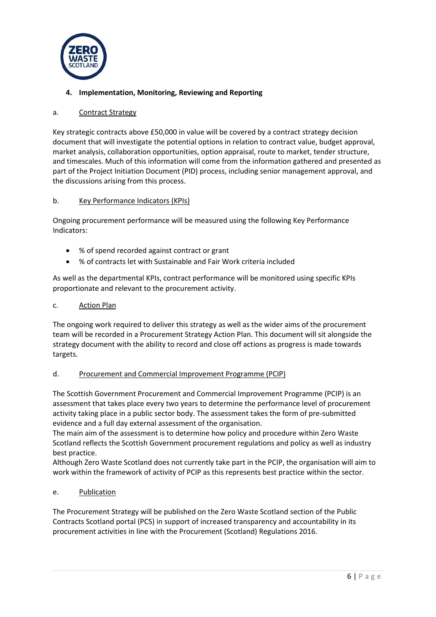

# **4. Implementation, Monitoring, Reviewing and Reporting**

#### a. Contract Strategy

Key strategic contracts above £50,000 in value will be covered by a contract strategy decision document that will investigate the potential options in relation to contract value, budget approval, market analysis, collaboration opportunities, option appraisal, route to market, tender structure, and timescales. Much of this information will come from the information gathered and presented as part of the Project Initiation Document (PID) process, including senior management approval, and the discussions arising from this process.

#### b. Key Performance Indicators (KPIs)

Ongoing procurement performance will be measured using the following Key Performance Indicators:

- % of spend recorded against contract or grant
- % of contracts let with Sustainable and Fair Work criteria included

As well as the departmental KPIs, contract performance will be monitored using specific KPIs proportionate and relevant to the procurement activity.

#### c. Action Plan

The ongoing work required to deliver this strategy as well as the wider aims of the procurement team will be recorded in a Procurement Strategy Action Plan. This document will sit alongside the strategy document with the ability to record and close off actions as progress is made towards targets.

# d. Procurement and Commercial Improvement Programme (PCIP)

The Scottish Government Procurement and Commercial Improvement Programme (PCIP) is an assessment that takes place every two years to determine the performance level of procurement activity taking place in a public sector body. The assessment takes the form of pre-submitted evidence and a full day external assessment of the organisation.

The main aim of the assessment is to determine how policy and procedure within Zero Waste Scotland reflects the Scottish Government procurement regulations and policy as well as industry best practice.

Although Zero Waste Scotland does not currently take part in the PCIP, the organisation will aim to work within the framework of activity of PCIP as this represents best practice within the sector.

# e. Publication

The Procurement Strategy will be published on the Zero Waste Scotland section of the Public Contracts Scotland portal (PCS) in support of increased transparency and accountability in its procurement activities in line with the Procurement (Scotland) Regulations 2016.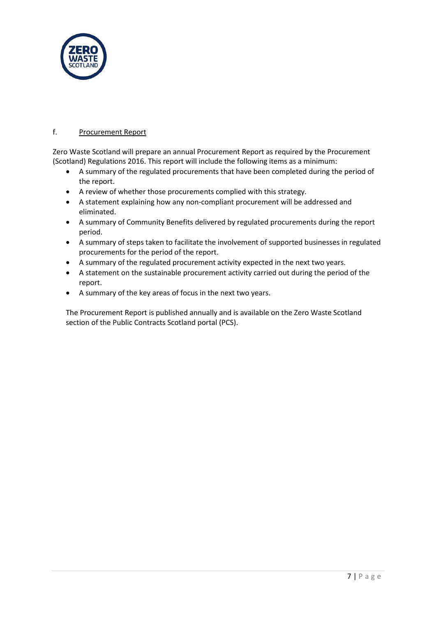

# f. Procurement Report

Zero Waste Scotland will prepare an annual Procurement Report as required by the Procurement (Scotland) Regulations 2016. This report will include the following items as a minimum:

- A summary of the regulated procurements that have been completed during the period of the report.
- A review of whether those procurements complied with this strategy.
- A statement explaining how any non-compliant procurement will be addressed and eliminated.
- A summary of Community Benefits delivered by regulated procurements during the report period.
- A summary of steps taken to facilitate the involvement of supported businesses in regulated procurements for the period of the report.
- A summary of the regulated procurement activity expected in the next two years.
- A statement on the sustainable procurement activity carried out during the period of the report.
- A summary of the key areas of focus in the next two years.

The Procurement Report is published annually and is available on the Zero Waste Scotland section of the Public Contracts Scotland portal (PCS).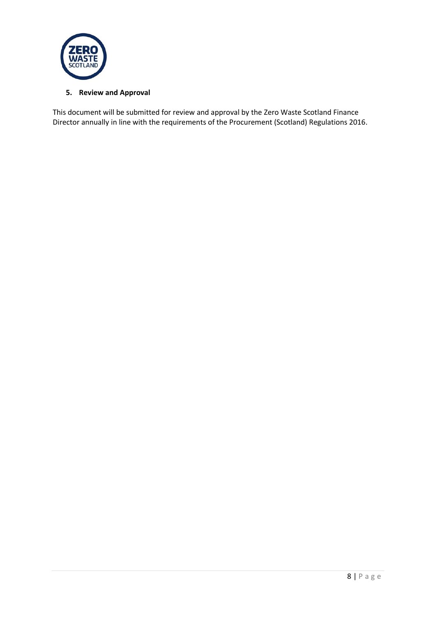

# **5. Review and Approval**

This document will be submitted for review and approval by the Zero Waste Scotland Finance Director annually in line with the requirements of the Procurement (Scotland) Regulations 2016.